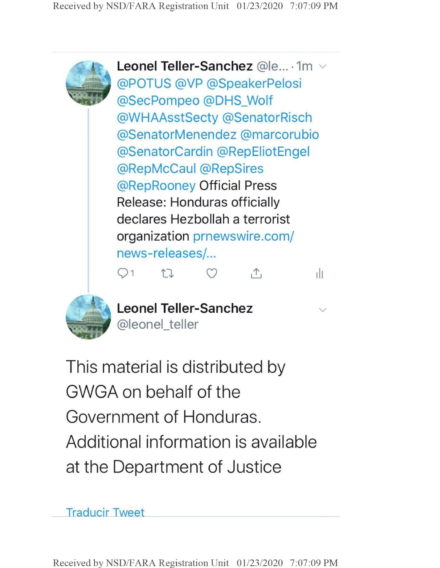

**Leonel Teller-Sanchez** @le... • 1m . @POTUS @VP @SpeakerPelosi @SecPompeo @DHS\_Wolf @WHAAsstSecty @SenatorRisch @SenatorMenendez @marcorubio @SenatorCardin @RepEliotEngel @RepMcCaul @RepSires @RepRooney Official Press Release: Honduras officially declares Hezbollah a terrorist organization prnewswire.com/ news-releases/... Qi *U* 0? A ill



**Leonel Teller-Sanchez ^** @leonel\_teller

This material is distributed by GWGA on behalf of the Government of Honduras. Additional information is available at the Department of Justice

Traducir Tweet

Received by NSD/FARA Registration Unit 01/23/2020 7:07:09 PM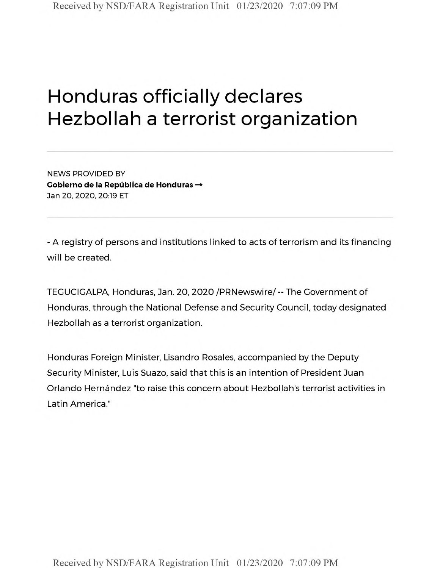## Honduras officially declares Hezbollah a terrorist organization

NEWS PROVIDED BY **Cobierno de la Republica de Honduras —** Jan 20, 2020, 20:19 ET

- A registry of persons and institutions linked to acts of terrorism and its financing will be created.

TEGUCIGALPA, Honduras, Jan. 20, 2020 /PRNewswire/ -- The Government of Honduras, through the National Defense and Security Council, today designated Hezbollah as a terrorist organization.

Honduras Foreign Minister, Lisandro Rosales, accompanied by the Deputy Security Minister, Luis Suazo, said that this is an intention of President Juan Orlando Hernandez "to raise this concern about Hezbollah's terrorist activities in Latin America."